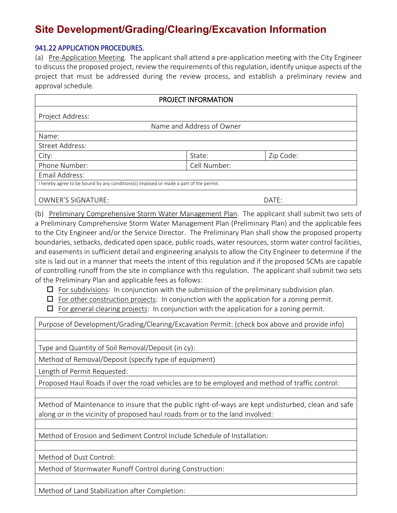# **Site Development/Grading/Clearing/Excavation Information**

#### 941.22 APPLICATION PROCEDURES.

(a) Pre-Application Meeting. The applicant shall attend a pre-application meeting with the City Engineer to discuss the proposed project, review the requirements of this regulation, identify unique aspects of the project that must be addressed during the review process, and establish a preliminary review and approval schedule.

| PROJECT INFORMATION                                                                   |              |           |  |
|---------------------------------------------------------------------------------------|--------------|-----------|--|
| Project Address:                                                                      |              |           |  |
| Name and Address of Owner                                                             |              |           |  |
| Name:                                                                                 |              |           |  |
| <b>Street Address:</b>                                                                |              |           |  |
| City:                                                                                 | State:       | Zip Code: |  |
| Phone Number:                                                                         | Cell Number: |           |  |
| Email Address:                                                                        |              |           |  |
| I hereby agree to be bound by any conditions(s) imposed or made a part of the permit. |              |           |  |
| <b>OWNER'S SIGNATURE:</b>                                                             |              | DATE:     |  |

(b) Preliminary Comprehensive Storm Water Management Plan. The applicant shall submit two sets of a Preliminary Comprehensive Storm Water Management Plan (Preliminary Plan) and the applicable fees to the City Engineer and/or the Service Director. The Preliminary Plan shall show the proposed property boundaries, setbacks, dedicated open space, public roads, water resources, storm water control facilities, and easements in sufficient detail and engineering analysis to allow the City Engineer to determine if the site is laid out in a manner that meets the intent of this regulation and if the proposed SCMs are capable of controlling runoff from the site in compliance with this regulation. The applicant shall submit two sets of the Preliminary Plan and applicable fees as follows:

- $\Box$  For subdivisions: In conjunction with the submission of the preliminary subdivision plan.
- $\Box$  For other construction projects: In conjunction with the application for a zoning permit.
- $\Box$  For general clearing projects: In conjunction with the application for a zoning permit.

Purpose of Development/Grading/Clearing/Excavation Permit: (check box above and provide info)

Type and Quantity of Soil Removal/Deposit (in cy):

Method of Removal/Deposit (specify type of equipment)

Length of Permit Requested:

Proposed Haul Roads if over the road vehicles are to be employed and method of traffic control:

Method of Maintenance to insure that the public right-of-ways are kept undisturbed, clean and safe along or in the vicinity of proposed haul roads from or to the land involved:

Method of Erosion and Sediment Control Include Schedule of Installation:

Method of Dust Control:

Method of Stormwater Runoff Control during Construction:

Method of Land Stabilization after Completion: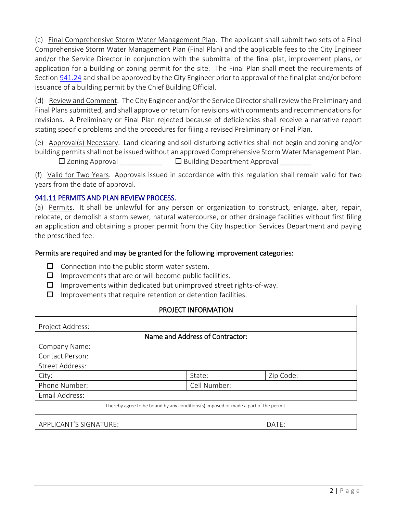(c) Final Comprehensive Storm Water Management Plan. The applicant shall submit two sets of a Final Comprehensive Storm Water Management Plan (Final Plan) and the applicable fees to the City Engineer and/or the Service Director in conjunction with the submittal of the final plat, improvement plans, or application for a building or zoning permit for the site. The Final Plan shall meet the requirements of Section [941.24](http://library.amlegal.com/nxt/gateway.dll?f=jumplink$jumplink_x=Advanced$jumplink_vpc=first$jumplink_xsl=querylink.xsl$jumplink_sel=title;path;content-type;home-title;item-bookmark$jumplink_d=ohio(painesville_oh)$jumplink_q=%5bfield%20folio-destination-name:%27941.24%27%5d$jumplink_md=target-id=JD_941.24) and shall be approved by the City Engineer prior to approval of the final plat and/or before issuance of a building permit by the Chief Building Official.

(d) Review and Comment. The City Engineer and/or the Service Director shall review the Preliminary and Final Plans submitted, and shall approve or return for revisions with comments and recommendations for revisions. A Preliminary or Final Plan rejected because of deficiencies shall receive a narrative report stating specific problems and the procedures for filing a revised Preliminary or Final Plan.

(e) Approval(s) Necessary. Land-clearing and soil-disturbing activities shall not begin and zoning and/or building permits shall not be issued without an approved Comprehensive Storm Water Management Plan.

 $\square$  Zoning Approval \_\_\_\_\_\_\_\_\_\_\_\_\_\_  $\square$  Building Department Approval \_\_

(f) Valid for Two Years. Approvals issued in accordance with this regulation shall remain valid for two years from the date of approval.

### 941.11 PERMITS AND PLAN REVIEW PROCESS.

(a) Permits. It shall be unlawful for any person or organization to construct, enlarge, alter, repair, relocate, or demolish a storm sewer, natural watercourse, or other drainage facilities without first filing an application and obtaining a proper permit from the City Inspection Services Department and paying the prescribed fee.

#### Permits are required and may be granted for the following improvement categories:

- $\Box$  Connection into the public storm water system.
- $\Box$  Improvements that are or will become public facilities.
- $\Box$  Improvements within dedicated but unimproved street rights-of-way.
- $\Box$  Improvements that require retention or detention facilities.

#### PROJECT INFORMATION

| Project Address:                                                                      |              |           |  |
|---------------------------------------------------------------------------------------|--------------|-----------|--|
| Name and Address of Contractor:                                                       |              |           |  |
| Company Name:                                                                         |              |           |  |
| Contact Person:                                                                       |              |           |  |
| Street Address:                                                                       |              |           |  |
| City:                                                                                 | State:       | Zip Code: |  |
| Phone Number:                                                                         | Cell Number: |           |  |
| Email Address:                                                                        |              |           |  |
| I hereby agree to be bound by any conditions(s) imposed or made a part of the permit. |              |           |  |
| APPLICANT'S SIGNATURE:                                                                | DATE:        |           |  |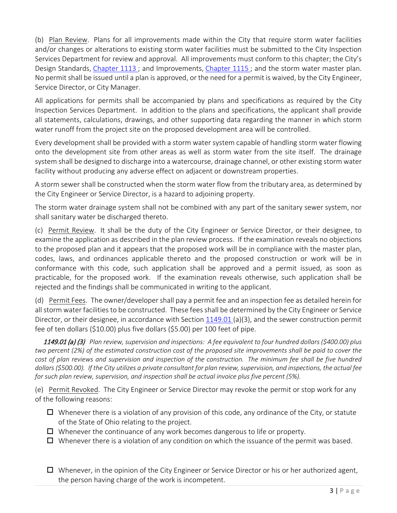(b) Plan Review. Plans for all improvements made within the City that require storm water facilities and/or changes or alterations to existing storm water facilities must be submitted to the City Inspection Services Department for review and approval. All improvements must conform to this chapter; the City's Design Standards, [Chapter 1113](http://library.amlegal.com/nxt/gateway.dll?f=jumplink$jumplink_x=Advanced$jumplink_vpc=first$jumplink_xsl=querylink.xsl$jumplink_sel=title;path;content-type;home-title;item-bookmark$jumplink_d=ohio(painesville_oh)$jumplink_q=%5bfield%20folio-destination-name:%27Chapter%201113%27%5d$jumplink_md=target-id=JD_Chapter1113) ; and Improvements, [Chapter 1115](http://library.amlegal.com/nxt/gateway.dll?f=jumplink$jumplink_x=Advanced$jumplink_vpc=first$jumplink_xsl=querylink.xsl$jumplink_sel=title;path;content-type;home-title;item-bookmark$jumplink_d=ohio(painesville_oh)$jumplink_q=%5bfield%20folio-destination-name:%27Chapter%201115%27%5d$jumplink_md=target-id=JD_Chapter1115) ; and the storm water master plan. No permit shall be issued until a plan is approved, or the need for a permit is waived, by the City Engineer, Service Director, or City Manager.

All applications for permits shall be accompanied by plans and specifications as required by the City Inspection Services Department. In addition to the plans and specifications, the applicant shall provide all statements, calculations, drawings, and other supporting data regarding the manner in which storm water runoff from the project site on the proposed development area will be controlled.

Every development shall be provided with a storm water system capable of handling storm water flowing onto the development site from other areas as well as storm water from the site itself. The drainage system shall be designed to discharge into a watercourse, drainage channel, or other existing storm water facility without producing any adverse effect on adjacent or downstream properties.

A storm sewer shall be constructed when the storm water flow from the tributary area, as determined by the City Engineer or Service Director, is a hazard to adjoining property.

The storm water drainage system shall not be combined with any part of the sanitary sewer system, nor shall sanitary water be discharged thereto.

(c) Permit Review. It shall be the duty of the City Engineer or Service Director, or their designee, to examine the application as described in the plan review process. If the examination reveals no objections to the proposed plan and it appears that the proposed work will be in compliance with the master plan, codes, laws, and ordinances applicable thereto and the proposed construction or work will be in conformance with this code, such application shall be approved and a permit issued, as soon as practicable, for the proposed work. If the examination reveals otherwise, such application shall be rejected and the findings shall be communicated in writing to the applicant.

(d) Permit Fees. The owner/developer shall pay a permit fee and an inspection fee as detailed herein for all storm water facilities to be constructed. These fees shall be determined by the City Engineer or Service Director, or their designee, in accordance with Section [1149.01](http://library.amlegal.com/nxt/gateway.dll?f=jumplink$jumplink_x=Advanced$jumplink_vpc=first$jumplink_xsl=querylink.xsl$jumplink_sel=title;path;content-type;home-title;item-bookmark$jumplink_d=ohio(painesville_oh)$jumplink_q=%5bfield%20folio-destination-name:%271149.01%27%5d$jumplink_md=target-id=JD_1149.01) (a)(3), and the sewer construction permit fee of ten dollars (\$10.00) plus five dollars (\$5.00) per 100 feet of pipe.

1149.01 (a) (3) *Plan review, supervision and inspections: A fee equivalent to four hundred dollars (\$400.00) plus two percent (2%) of the estimated construction cost of the proposed site improvements shall be paid to cover the cost of plan reviews and supervision and inspection of the construction. The minimum fee shall be five hundred dollars (\$500.00). If the City utilizes a private consultant for plan review, supervision, and inspections, the actual fee for such plan review, supervision, and inspection shall be actual invoice plus five percent (5%).*

(e) Permit Revoked. The City Engineer or Service Director may revoke the permit or stop work for any of the following reasons:

- $\Box$  Whenever there is a violation of any provision of this code, any ordinance of the City, or statute of the State of Ohio relating to the project.
- $\Box$  Whenever the continuance of any work becomes dangerous to life or property.
- $\Box$  Whenever there is a violation of any condition on which the issuance of the permit was based.
- $\Box$  Whenever, in the opinion of the City Engineer or Service Director or his or her authorized agent, the person having charge of the work is incompetent.